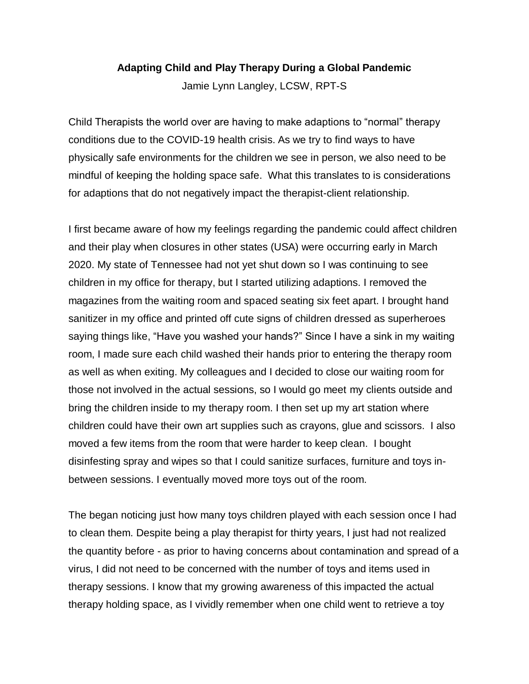### **Adapting Child and Play Therapy During a Global Pandemic**

Jamie Lynn Langley, LCSW, RPT-S

Child Therapists the world over are having to make adaptions to "normal" therapy conditions due to the COVID-19 health crisis. As we try to find ways to have physically safe environments for the children we see in person, we also need to be mindful of keeping the holding space safe. What this translates to is considerations for adaptions that do not negatively impact the therapist-client relationship.

I first became aware of how my feelings regarding the pandemic could affect children and their play when closures in other states (USA) were occurring early in March 2020. My state of Tennessee had not yet shut down so I was continuing to see children in my office for therapy, but I started utilizing adaptions. I removed the magazines from the waiting room and spaced seating six feet apart. I brought hand sanitizer in my office and printed off cute signs of children dressed as superheroes saying things like, "Have you washed your hands?" Since I have a sink in my waiting room, I made sure each child washed their hands prior to entering the therapy room as well as when exiting. My colleagues and I decided to close our waiting room for those not involved in the actual sessions, so I would go meet my clients outside and bring the children inside to my therapy room. I then set up my art station where children could have their own art supplies such as crayons, glue and scissors. I also moved a few items from the room that were harder to keep clean. I bought disinfesting spray and wipes so that I could sanitize surfaces, furniture and toys inbetween sessions. I eventually moved more toys out of the room.

The began noticing just how many toys children played with each session once I had to clean them. Despite being a play therapist for thirty years, I just had not realized the quantity before - as prior to having concerns about contamination and spread of a virus, I did not need to be concerned with the number of toys and items used in therapy sessions. I know that my growing awareness of this impacted the actual therapy holding space, as I vividly remember when one child went to retrieve a toy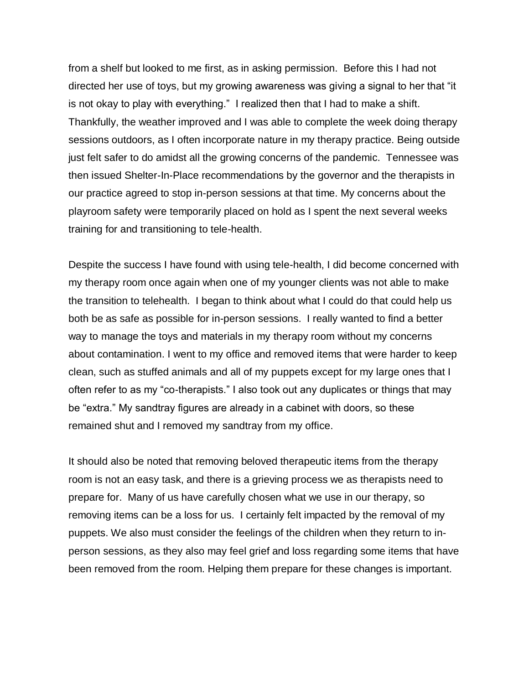from a shelf but looked to me first, as in asking permission. Before this I had not directed her use of toys, but my growing awareness was giving a signal to her that "it is not okay to play with everything." I realized then that I had to make a shift. Thankfully, the weather improved and I was able to complete the week doing therapy sessions outdoors, as I often incorporate nature in my therapy practice. Being outside just felt safer to do amidst all the growing concerns of the pandemic. Tennessee was then issued Shelter-In-Place recommendations by the governor and the therapists in our practice agreed to stop in-person sessions at that time. My concerns about the playroom safety were temporarily placed on hold as I spent the next several weeks training for and transitioning to tele-health.

Despite the success I have found with using tele-health, I did become concerned with my therapy room once again when one of my younger clients was not able to make the transition to telehealth. I began to think about what I could do that could help us both be as safe as possible for in-person sessions. I really wanted to find a better way to manage the toys and materials in my therapy room without my concerns about contamination. I went to my office and removed items that were harder to keep clean, such as stuffed animals and all of my puppets except for my large ones that I often refer to as my "co-therapists." I also took out any duplicates or things that may be "extra." My sandtray figures are already in a cabinet with doors, so these remained shut and I removed my sandtray from my office.

It should also be noted that removing beloved therapeutic items from the therapy room is not an easy task, and there is a grieving process we as therapists need to prepare for. Many of us have carefully chosen what we use in our therapy, so removing items can be a loss for us. I certainly felt impacted by the removal of my puppets. We also must consider the feelings of the children when they return to inperson sessions, as they also may feel grief and loss regarding some items that have been removed from the room. Helping them prepare for these changes is important.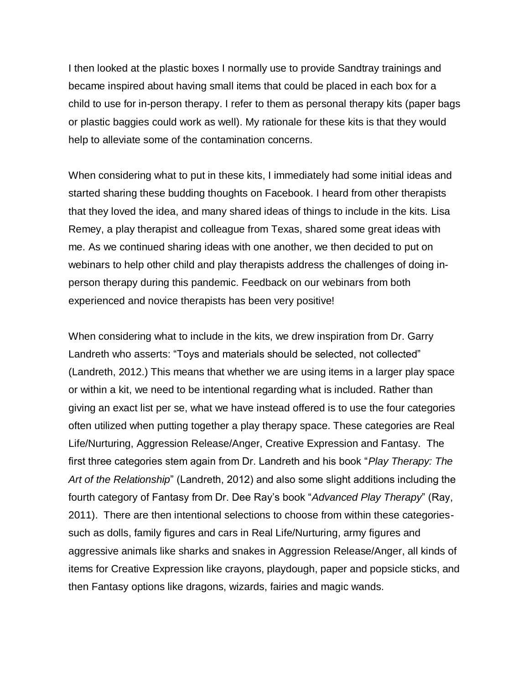I then looked at the plastic boxes I normally use to provide Sandtray trainings and became inspired about having small items that could be placed in each box for a child to use for in-person therapy. I refer to them as personal therapy kits (paper bags or plastic baggies could work as well). My rationale for these kits is that they would help to alleviate some of the contamination concerns.

When considering what to put in these kits, I immediately had some initial ideas and started sharing these budding thoughts on Facebook. I heard from other therapists that they loved the idea, and many shared ideas of things to include in the kits. Lisa Remey, a play therapist and colleague from Texas, shared some great ideas with me. As we continued sharing ideas with one another, we then decided to put on webinars to help other child and play therapists address the challenges of doing inperson therapy during this pandemic. Feedback on our webinars from both experienced and novice therapists has been very positive!

When considering what to include in the kits, we drew inspiration from Dr. Garry Landreth who asserts: "Toys and materials should be selected, not collected" (Landreth, 2012.) This means that whether we are using items in a larger play space or within a kit, we need to be intentional regarding what is included. Rather than giving an exact list per se, what we have instead offered is to use the four categories often utilized when putting together a play therapy space. These categories are Real Life/Nurturing, Aggression Release/Anger, Creative Expression and Fantasy. The first three categories stem again from Dr. Landreth and his book "*Play Therapy: The Art of the Relationship*" (Landreth, 2012) and also some slight additions including the fourth category of Fantasy from Dr. Dee Ray's book "*Advanced Play Therapy*" (Ray, 2011). There are then intentional selections to choose from within these categoriessuch as dolls, family figures and cars in Real Life/Nurturing, army figures and aggressive animals like sharks and snakes in Aggression Release/Anger, all kinds of items for Creative Expression like crayons, playdough, paper and popsicle sticks, and then Fantasy options like dragons, wizards, fairies and magic wands.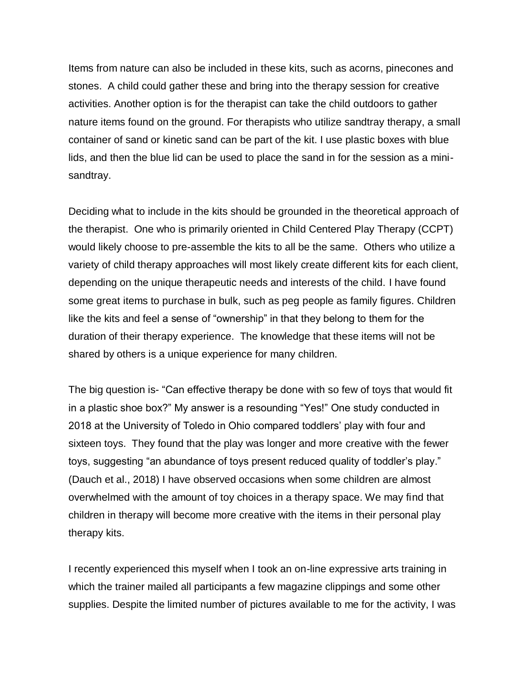Items from nature can also be included in these kits, such as acorns, pinecones and stones. A child could gather these and bring into the therapy session for creative activities. Another option is for the therapist can take the child outdoors to gather nature items found on the ground. For therapists who utilize sandtray therapy, a small container of sand or kinetic sand can be part of the kit. I use plastic boxes with blue lids, and then the blue lid can be used to place the sand in for the session as a minisandtray.

Deciding what to include in the kits should be grounded in the theoretical approach of the therapist. One who is primarily oriented in Child Centered Play Therapy (CCPT) would likely choose to pre-assemble the kits to all be the same. Others who utilize a variety of child therapy approaches will most likely create different kits for each client, depending on the unique therapeutic needs and interests of the child. I have found some great items to purchase in bulk, such as peg people as family figures. Children like the kits and feel a sense of "ownership" in that they belong to them for the duration of their therapy experience. The knowledge that these items will not be shared by others is a unique experience for many children.

The big question is- "Can effective therapy be done with so few of toys that would fit in a plastic shoe box?" My answer is a resounding "Yes!" One study conducted in 2018 at the University of Toledo in Ohio compared toddlers' play with four and sixteen toys. They found that the play was longer and more creative with the fewer toys, suggesting "an abundance of toys present reduced quality of toddler's play." (Dauch et al., 2018) I have observed occasions when some children are almost overwhelmed with the amount of toy choices in a therapy space. We may find that children in therapy will become more creative with the items in their personal play therapy kits.

I recently experienced this myself when I took an on-line expressive arts training in which the trainer mailed all participants a few magazine clippings and some other supplies. Despite the limited number of pictures available to me for the activity, I was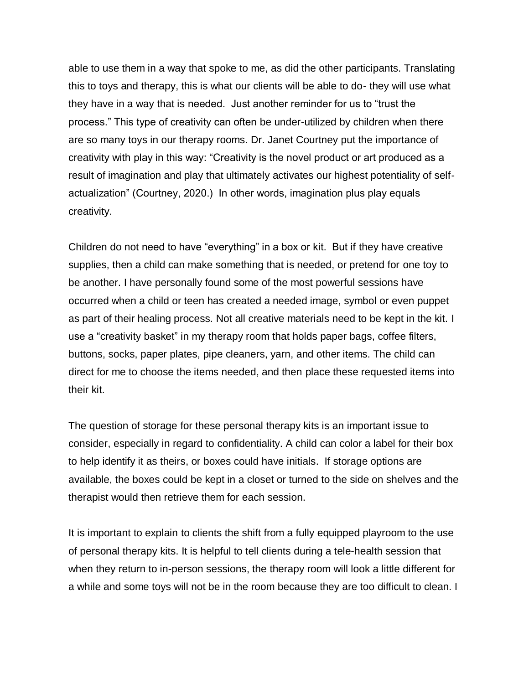able to use them in a way that spoke to me, as did the other participants. Translating this to toys and therapy, this is what our clients will be able to do- they will use what they have in a way that is needed. Just another reminder for us to "trust the process." This type of creativity can often be under-utilized by children when there are so many toys in our therapy rooms. Dr. Janet Courtney put the importance of creativity with play in this way: "Creativity is the novel product or art produced as a result of imagination and play that ultimately activates our highest potentiality of selfactualization" (Courtney, 2020.) In other words, imagination plus play equals creativity.

Children do not need to have "everything" in a box or kit. But if they have creative supplies, then a child can make something that is needed, or pretend for one toy to be another. I have personally found some of the most powerful sessions have occurred when a child or teen has created a needed image, symbol or even puppet as part of their healing process. Not all creative materials need to be kept in the kit. I use a "creativity basket" in my therapy room that holds paper bags, coffee filters, buttons, socks, paper plates, pipe cleaners, yarn, and other items. The child can direct for me to choose the items needed, and then place these requested items into their kit.

The question of storage for these personal therapy kits is an important issue to consider, especially in regard to confidentiality. A child can color a label for their box to help identify it as theirs, or boxes could have initials. If storage options are available, the boxes could be kept in a closet or turned to the side on shelves and the therapist would then retrieve them for each session.

It is important to explain to clients the shift from a fully equipped playroom to the use of personal therapy kits. It is helpful to tell clients during a tele-health session that when they return to in-person sessions, the therapy room will look a little different for a while and some toys will not be in the room because they are too difficult to clean. I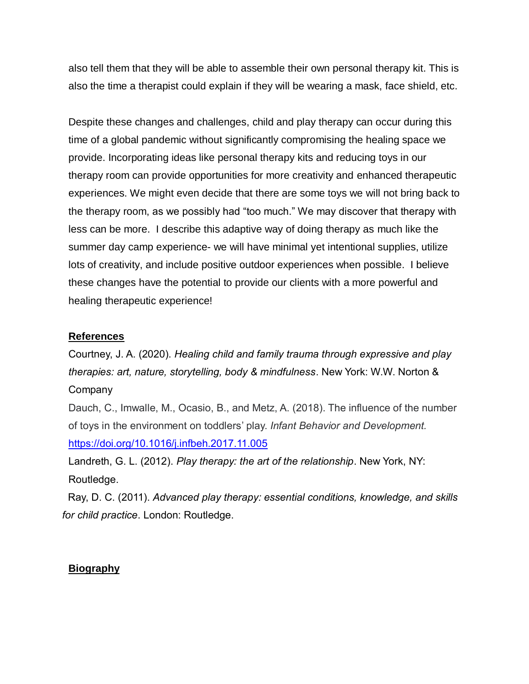also tell them that they will be able to assemble their own personal therapy kit. This is also the time a therapist could explain if they will be wearing a mask, face shield, etc.

Despite these changes and challenges, child and play therapy can occur during this time of a global pandemic without significantly compromising the healing space we provide. Incorporating ideas like personal therapy kits and reducing toys in our therapy room can provide opportunities for more creativity and enhanced therapeutic experiences. We might even decide that there are some toys we will not bring back to the therapy room, as we possibly had "too much." We may discover that therapy with less can be more. I describe this adaptive way of doing therapy as much like the summer day camp experience- we will have minimal yet intentional supplies, utilize lots of creativity, and include positive outdoor experiences when possible. I believe these changes have the potential to provide our clients with a more powerful and healing therapeutic experience!

### **References**

Courtney, J. A. (2020). *Healing child and family trauma through expressive and play therapies: art, nature, storytelling, body & mindfulness*. New York: W.W. Norton & **Company** 

Dauch, C., Imwalle, M., Ocasio, B., and Metz, A. (2018). The influence of the number of toys in the environment on toddlers' play. *Infant Behavior and Development.* <https://doi.org/10.1016/j.infbeh.2017.11.005>

Landreth, G. L. (2012). *Play therapy: the art of the relationship*. New York, NY: Routledge.

Ray, D. C. (2011). *Advanced play therapy: essential conditions, knowledge, and skills for child practice*. London: Routledge.

### **Biography**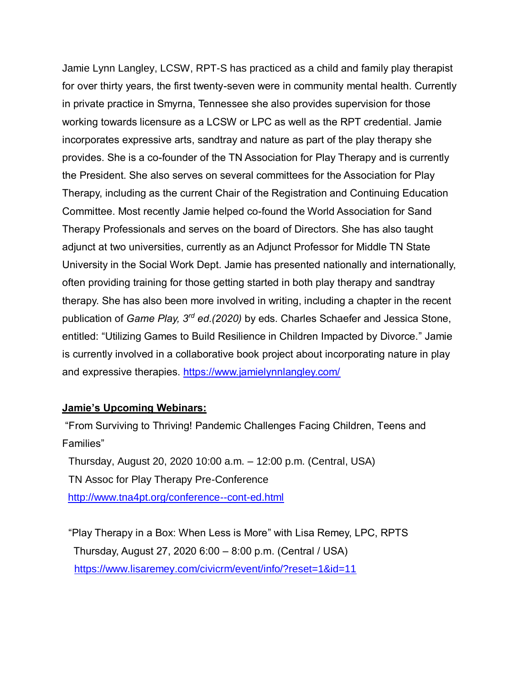Jamie Lynn Langley, LCSW, RPT-S has practiced as a child and family play therapist for over thirty years, the first twenty-seven were in community mental health. Currently in private practice in Smyrna, Tennessee she also provides supervision for those working towards licensure as a LCSW or LPC as well as the RPT credential. Jamie incorporates expressive arts, sandtray and nature as part of the play therapy she provides. She is a co-founder of the TN Association for Play Therapy and is currently the President. She also serves on several committees for the Association for Play Therapy, including as the current Chair of the Registration and Continuing Education Committee. Most recently Jamie helped co-found the World Association for Sand Therapy Professionals and serves on the board of Directors. She has also taught adjunct at two universities, currently as an Adjunct Professor for Middle TN State University in the Social Work Dept. Jamie has presented nationally and internationally, often providing training for those getting started in both play therapy and sandtray therapy. She has also been more involved in writing, including a chapter in the recent publication of *Game Play, 3rd ed.(2020)* by eds. Charles Schaefer and Jessica Stone, entitled: "Utilizing Games to Build Resilience in Children Impacted by Divorce." Jamie is currently involved in a collaborative book project about incorporating nature in play and expressive therapies.<https://www.jamielynnlangley.com/>

### **Jamie's Upcoming Webinars:**

"From Surviving to Thriving! Pandemic Challenges Facing Children, Teens and Families"

Thursday, August 20, 2020 10:00 a.m. – 12:00 p.m. (Central, USA) TN Assoc for Play Therapy Pre-Conference <http://www.tna4pt.org/conference--cont-ed.html>

"Play Therapy in a Box: When Less is More" with Lisa Remey, LPC, RPTS Thursday, August 27, 2020 6:00 – 8:00 p.m. (Central / USA) <https://www.lisaremey.com/civicrm/event/info/?reset=1&id=11>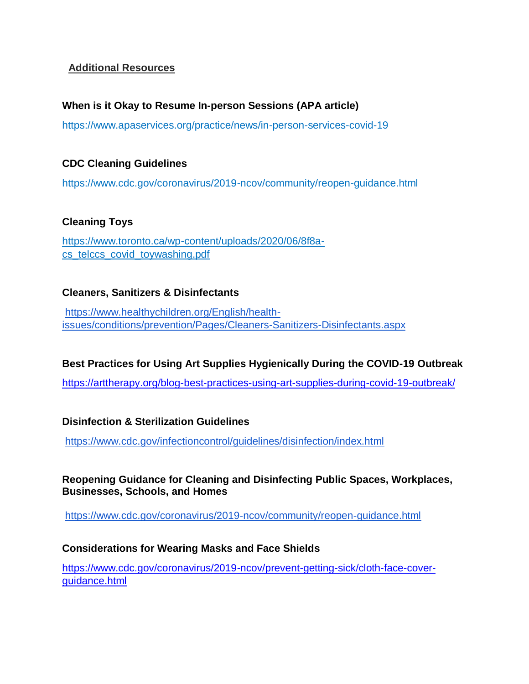## **Additional Resources**

## **When is it Okay to Resume In-person Sessions (APA article)**

https://www.apaservices.org/practice/news/in-person-services-covid-19

### **CDC Cleaning Guidelines**

https://www.cdc.gov/coronavirus/2019-ncov/community/reopen-guidance.html

### **Cleaning Toys**

[https://www.toronto.ca/wp-content/uploads/2020/06/8f8a](https://www.toronto.ca/wp-content/uploads/2020/06/8f8a-cs_telccs_covid_toywashing.pdf)[cs\\_telccs\\_covid\\_toywashing.pdf](https://www.toronto.ca/wp-content/uploads/2020/06/8f8a-cs_telccs_covid_toywashing.pdf)

## **Cleaners, Sanitizers & Disinfectants**

[https://www.healthychildren.org/English/health](https://www.healthychildren.org/English/health-issues/conditions/prevention/Pages/Cleaners-Sanitizers-Disinfectants.aspx)[issues/conditions/prevention/Pages/Cleaners-Sanitizers-Disinfectants.aspx](https://www.healthychildren.org/English/health-issues/conditions/prevention/Pages/Cleaners-Sanitizers-Disinfectants.aspx)

## **Best Practices for Using Art Supplies Hygienically During the COVID-19 Outbreak**

<https://arttherapy.org/blog-best-practices-using-art-supplies-during-covid-19-outbreak/>

### **Disinfection & Sterilization Guidelines**

<https://www.cdc.gov/infectioncontrol/guidelines/disinfection/index.html>

## **Reopening Guidance for Cleaning and Disinfecting Public Spaces, Workplaces, Businesses, Schools, and Homes**

<https://www.cdc.gov/coronavirus/2019-ncov/community/reopen-guidance.html>

### **Considerations for Wearing Masks and Face Shields**

[https://www.cdc.gov/coronavirus/2019-ncov/prevent-getting-sick/cloth-face-cover](https://www.cdc.gov/coronavirus/2019-ncov/prevent-getting-sick/cloth-face-cover-guidance.html)[guidance.html](https://www.cdc.gov/coronavirus/2019-ncov/prevent-getting-sick/cloth-face-cover-guidance.html)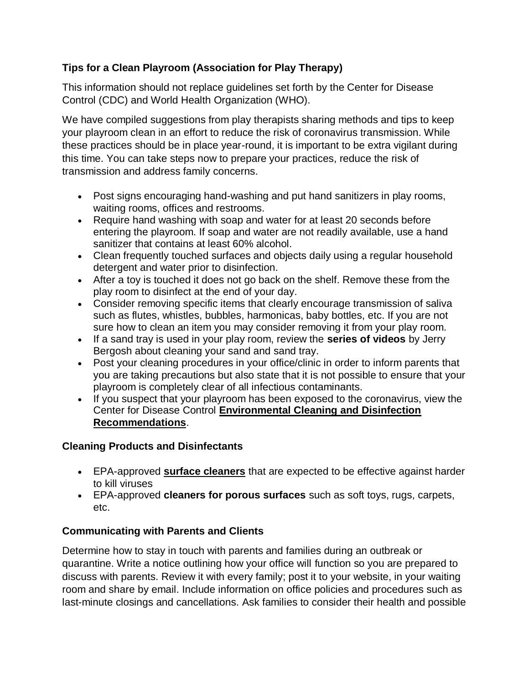# **Tips for a Clean Playroom (Association for Play Therapy)**

This information should not replace guidelines set forth by the Center for Disease Control (CDC) and World Health Organization (WHO).

We have compiled suggestions from play therapists sharing methods and tips to keep your playroom clean in an effort to reduce the risk of coronavirus transmission. While these practices should be in place year-round, it is important to be extra vigilant during this time. You can take steps now to prepare your practices, reduce the risk of transmission and address family concerns.

- Post signs encouraging hand-washing and put hand sanitizers in play rooms, waiting rooms, offices and restrooms.
- Require hand washing with soap and water for at least 20 seconds before entering the playroom. If soap and water are not readily available, use a hand sanitizer that contains at least 60% alcohol.
- Clean frequently touched surfaces and objects daily using a regular household detergent and water prior to disinfection.
- After a toy is touched it does not go back on the shelf. Remove these from the play room to disinfect at the end of your day.
- Consider removing specific items that clearly encourage transmission of saliva such as flutes, whistles, bubbles, harmonicas, baby bottles, etc. If you are not sure how to clean an item you may consider removing it from your play room.
- If a sand tray is used in your play room, review the **[series of videos](https://www.youtube.com/watch?v=rr4jRDM8Wno&feature=youtu.be)** by Jerry Bergosh about cleaning your sand and sand tray.
- Post your cleaning procedures in your office/clinic in order to inform parents that you are taking precautions but also state that it is not possible to ensure that your playroom is completely clear of all infectious contaminants.
- If you suspect that your playroom has been exposed to the coronavirus, view the Center for Disease Control **[Environmental Cleaning and Disinfection](https://www.cdc.gov/coronavirus/2019-ncov/community/home/cleaning-disinfection.html)  [Recommendations](https://www.cdc.gov/coronavirus/2019-ncov/community/home/cleaning-disinfection.html)**.

# **Cleaning Products and Disinfectants**

- EPA-approved **[surface cleaners](https://www.epa.gov/sites/production/files/2020-03/documents/sars-cov-2-list_03-03-2020.pdf)** that are expected to be effective against harder to kill viruses
- EPA-approved **[cleaners for porous surfaces](https://www.americanchemistry.com/Novel-Coronavirus-Fighting-Products-List.pdf)** such as soft toys, rugs, carpets, etc.

# **Communicating with Parents and Clients**

Determine how to stay in touch with parents and families during an outbreak or quarantine. Write a notice outlining how your office will function so you are prepared to discuss with parents. Review it with every family; post it to your website, in your waiting room and share by email. Include information on office policies and procedures such as last-minute closings and cancellations. Ask families to consider their health and possible